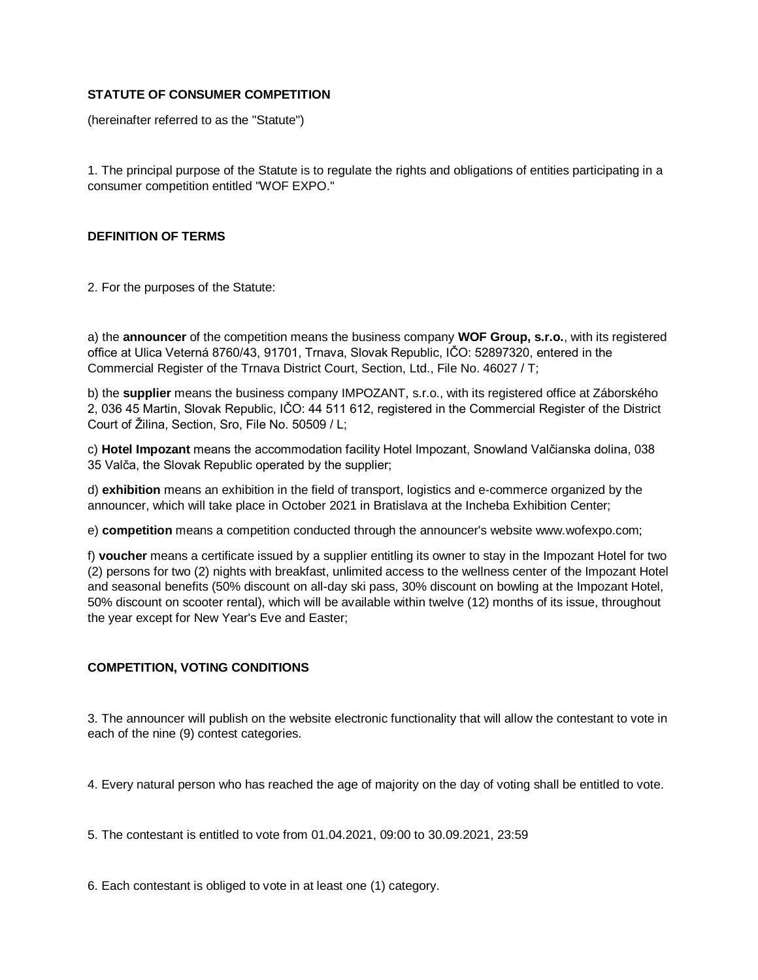## **STATUTE OF CONSUMER COMPETITION**

(hereinafter referred to as the "Statute")

1. The principal purpose of the Statute is to regulate the rights and obligations of entities participating in a consumer competition entitled "WOF EXPO."

#### **DEFINITION OF TERMS**

2. For the purposes of the Statute:

a) the **announcer** of the competition means the business company **WOF Group, s.r.o.**, with its registered office at Ulica Veterná 8760/43, 91701, Trnava, Slovak Republic, IČO: 52897320, entered in the Commercial Register of the Trnava District Court, Section, Ltd., File No. 46027 / T;

b) the **supplier** means the business company IMPOZANT, s.r.o., with its registered office at Záborského 2, 036 45 Martin, Slovak Republic, IČO: 44 511 612, registered in the Commercial Register of the District Court of Žilina, Section, Sro, File No. 50509 / L;

c) **Hotel Impozant** means the accommodation facility Hotel Impozant, Snowland Valčianska dolina, 038 35 Valča, the Slovak Republic operated by the supplier;

d) **exhibition** means an exhibition in the field of transport, logistics and e-commerce organized by the announcer, which will take place in October 2021 in Bratislava at the Incheba Exhibition Center;

e) **competition** means a competition conducted through the announcer's website www.wofexpo.com;

f) **voucher** means a certificate issued by a supplier entitling its owner to stay in the Impozant Hotel for two (2) persons for two (2) nights with breakfast, unlimited access to the wellness center of the Impozant Hotel and seasonal benefits (50% discount on all-day ski pass, 30% discount on bowling at the Impozant Hotel, 50% discount on scooter rental), which will be available within twelve (12) months of its issue, throughout the year except for New Year's Eve and Easter;

# **COMPETITION, VOTING CONDITIONS**

3. The announcer will publish on the website electronic functionality that will allow the contestant to vote in each of the nine (9) contest categories.

4. Every natural person who has reached the age of majority on the day of voting shall be entitled to vote.

5. The contestant is entitled to vote from 01.04.2021, 09:00 to 30.09.2021, 23:59

6. Each contestant is obliged to vote in at least one (1) category.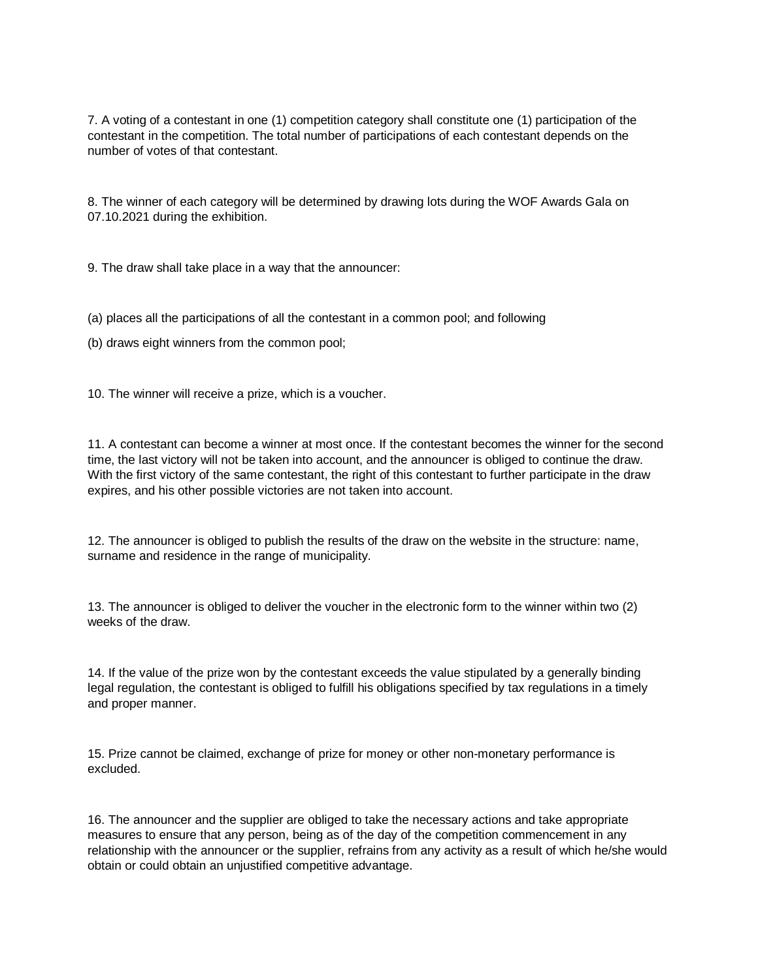7. A voting of a contestant in one (1) competition category shall constitute one (1) participation of the contestant in the competition. The total number of participations of each contestant depends on the number of votes of that contestant.

8. The winner of each category will be determined by drawing lots during the WOF Awards Gala on 07.10.2021 during the exhibition.

9. The draw shall take place in a way that the announcer:

(a) places all the participations of all the contestant in a common pool; and following

(b) draws eight winners from the common pool;

10. The winner will receive a prize, which is a voucher.

11. A contestant can become a winner at most once. If the contestant becomes the winner for the second time, the last victory will not be taken into account, and the announcer is obliged to continue the draw. With the first victory of the same contestant, the right of this contestant to further participate in the draw expires, and his other possible victories are not taken into account.

12. The announcer is obliged to publish the results of the draw on the website in the structure: name, surname and residence in the range of municipality.

13. The announcer is obliged to deliver the voucher in the electronic form to the winner within two (2) weeks of the draw.

14. If the value of the prize won by the contestant exceeds the value stipulated by a generally binding legal regulation, the contestant is obliged to fulfill his obligations specified by tax regulations in a timely and proper manner.

15. Prize cannot be claimed, exchange of prize for money or other non-monetary performance is excluded.

16. The announcer and the supplier are obliged to take the necessary actions and take appropriate measures to ensure that any person, being as of the day of the competition commencement in any relationship with the announcer or the supplier, refrains from any activity as a result of which he/she would obtain or could obtain an unjustified competitive advantage.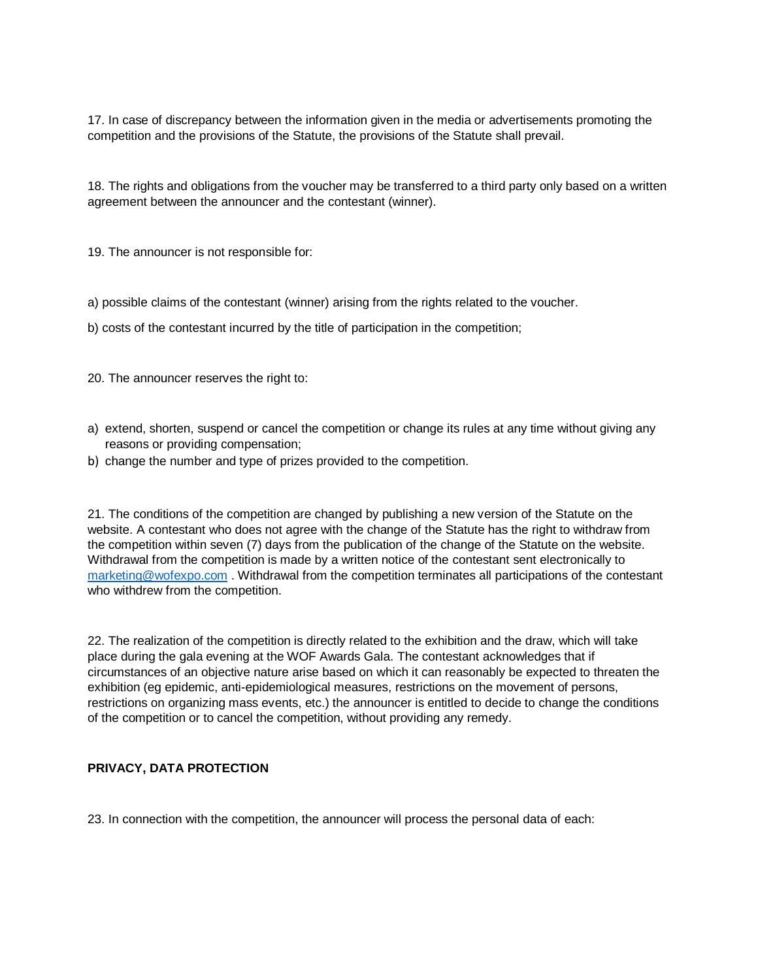17. In case of discrepancy between the information given in the media or advertisements promoting the competition and the provisions of the Statute, the provisions of the Statute shall prevail.

18. The rights and obligations from the voucher may be transferred to a third party only based on a written agreement between the announcer and the contestant (winner).

19. The announcer is not responsible for:

a) possible claims of the contestant (winner) arising from the rights related to the voucher.

b) costs of the contestant incurred by the title of participation in the competition;

20. The announcer reserves the right to:

- a) extend, shorten, suspend or cancel the competition or change its rules at any time without giving any reasons or providing compensation;
- b) change the number and type of prizes provided to the competition.

21. The conditions of the competition are changed by publishing a new version of the Statute on the website. A contestant who does not agree with the change of the Statute has the right to withdraw from the competition within seven (7) days from the publication of the change of the Statute on the website. Withdrawal from the competition is made by a written notice of the contestant sent electronically to [marketing@wofexpo.com](mailto:marketing@wofexpo.com) . Withdrawal from the competition terminates all participations of the contestant who withdrew from the competition.

22. The realization of the competition is directly related to the exhibition and the draw, which will take place during the gala evening at the WOF Awards Gala. The contestant acknowledges that if circumstances of an objective nature arise based on which it can reasonably be expected to threaten the exhibition (eg epidemic, anti-epidemiological measures, restrictions on the movement of persons, restrictions on organizing mass events, etc.) the announcer is entitled to decide to change the conditions of the competition or to cancel the competition, without providing any remedy.

# **PRIVACY, DATA PROTECTION**

23. In connection with the competition, the announcer will process the personal data of each: